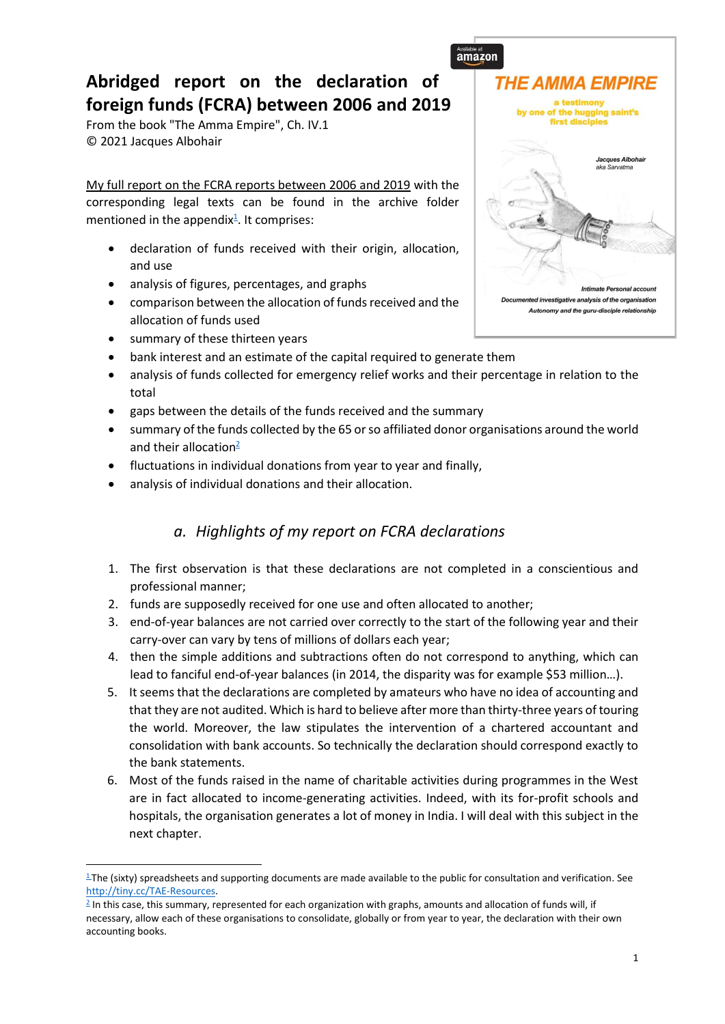# **Abridged report on the declaration of foreign funds (FCRA) between 2006 and 2019**

From the book "The Amma Empire", Ch. IV.1 © 2021 Jacques Albohair

My full report on the FCRA reports between 2006 and 2019 with the corresponding legal texts can be found in the archive folder mentioned in the appendix $\frac{1}{2}$ . It comprises:

- declaration of funds received with their origin, allocation, and use
- analysis of figures, percentages, and graphs
- comparison between the allocation of funds received and the allocation of funds used
- summary of these thirteen years
- bank interest and an estimate of the capital required to generate them
- analysis of funds collected for emergency relief works and their percentage in relation to the total
- gaps between the details of the funds received and the summary
- summary of the funds collected by the 65 or so affiliated donor organisations around the world and their allocation $2$
- fluctuations in individual donations from year to year and finally,
- analysis of individual donations and their allocation.

## *a. Highlights of my report on FCRA declarations*

- 1. The first observation is that these declarations are not completed in a conscientious and professional manner;
- 2. funds are supposedly received for one use and often allocated to another;
- 3. end-of-year balances are not carried over correctly to the start of the following year and their carry-over can vary by tens of millions of dollars each year;
- 4. then the simple additions and subtractions often do not correspond to anything, which can lead to fanciful end-of-year balances (in 2014, the disparity was for example \$53 million…).
- 5. It seems that the declarations are completed by amateurs who have no idea of accounting and that they are not audited. Which is hard to believe after more than thirty-three years of touring the world. Moreover, the law stipulates the intervention of a chartered accountant and consolidation with bank accounts. So technically the declaration should correspond exactly to the bank statements.
- 6. Most of the funds raised in the name of charitable activities during programmes in the West are in fact allocated to income-generating activities. Indeed, with its for-profit schools and hospitals, the organisation generates a lot of money in India. I will deal with this subject in the next chapter.



 $1$ The (sixty) spreadsheets and supporting documents are made available to the public for consultation and verification. See [http://tiny.cc/TAE-Resources.](http://tiny.cc/TAE-Resources)

<sup>2</sup> In this case, this summary, represented for each organization with graphs, amounts and allocation of funds will, if necessary, allow each of these organisations to consolidate, globally or from year to year, the declaration with their own accounting books.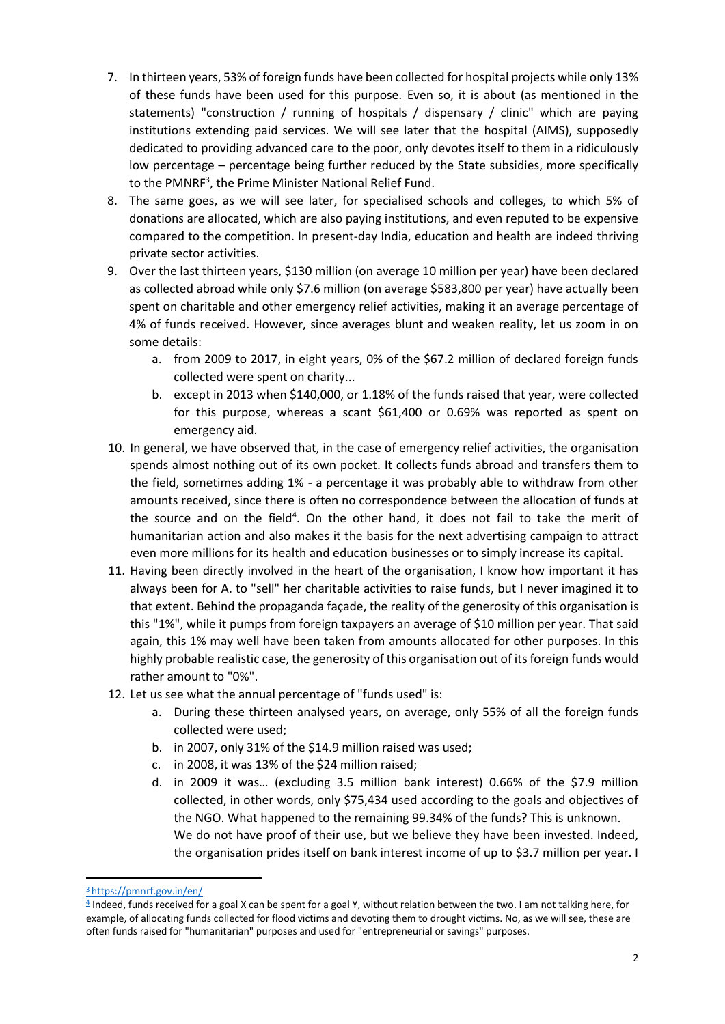- 7. In thirteen years, 53% of foreign funds have been collected for hospital projects while only 13% of these funds have been used for this purpose. Even so, it is about (as mentioned in the statements) "construction / running of hospitals / dispensary / clinic" which are paying institutions extending paid services. We will see later that the hospital (AIMS), supposedly dedicated to providing advanced care to the poor, only devotes itself to them in a ridiculously low percentage – percentage being further reduced by the State subsidies, more specifically to the PMNRF<sup>3</sup>, the Prime Minister National Relief Fund.
- 8. The same goes, as we will see later, for specialised schools and colleges, to which 5% of donations are allocated, which are also paying institutions, and even reputed to be expensive compared to the competition. In present-day India, education and health are indeed thriving private sector activities.
- 9. Over the last thirteen years, \$130 million (on average 10 million per year) have been declared as collected abroad while only \$7.6 million (on average \$583,800 per year) have actually been spent on charitable and other emergency relief activities, making it an average percentage of 4% of funds received. However, since averages blunt and weaken reality, let us zoom in on some details:
	- a. from 2009 to 2017, in eight years, 0% of the \$67.2 million of declared foreign funds collected were spent on charity...
	- b. except in 2013 when \$140,000, or 1.18% of the funds raised that year, were collected for this purpose, whereas a scant \$61,400 or 0.69% was reported as spent on emergency aid.
- 10. In general, we have observed that, in the case of emergency relief activities, the organisation spends almost nothing out of its own pocket. It collects funds abroad and transfers them to the field, sometimes adding 1% - a percentage it was probably able to withdraw from other amounts received, since there is often no correspondence between the allocation of funds at the source and on the field<sup>4</sup>. On the other hand, it does not fail to take the merit of humanitarian action and also makes it the basis for the next advertising campaign to attract even more millions for its health and education businesses or to simply increase its capital.
- 11. Having been directly involved in the heart of the organisation, I know how important it has always been for A. to "sell" her charitable activities to raise funds, but I never imagined it to that extent. Behind the propaganda façade, the reality of the generosity of this organisation is this "1%", while it pumps from foreign taxpayers an average of \$10 million per year. That said again, this 1% may well have been taken from amounts allocated for other purposes. In this highly probable realistic case, the generosity of this organisation out of its foreign funds would rather amount to "0%".
- 12. Let us see what the annual percentage of "funds used" is:
	- a. During these thirteen analysed years, on average, only 55% of all the foreign funds collected were used;
	- b. in 2007, only 31% of the \$14.9 million raised was used;
	- c. in 2008, it was 13% of the \$24 million raised;
	- d. in 2009 it was… (excluding 3.5 million bank interest) 0.66% of the \$7.9 million collected, in other words, only \$75,434 used according to the goals and objectives of the NGO. What happened to the remaining 99.34% of the funds? This is unknown. We do not have proof of their use, but we believe they have been invested. Indeed, the organisation prides itself on bank interest income of up to \$3.7 million per year. I

<sup>3</sup> <https://pmnrf.gov.in/en/>

<sup>4</sup> Indeed, funds received for a goal X can be spent for a goal Y, without relation between the two. I am not talking here, for example, of allocating funds collected for flood victims and devoting them to drought victims. No, as we will see, these are often funds raised for "humanitarian" purposes and used for "entrepreneurial or savings" purposes.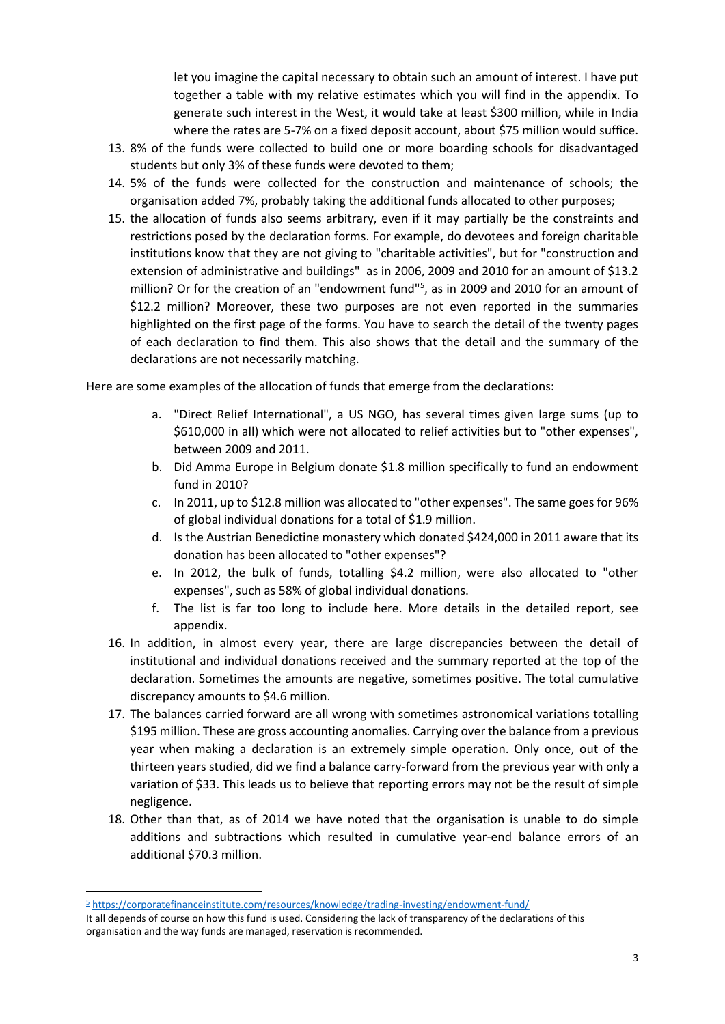let you imagine the capital necessary to obtain such an amount of interest. I have put together a table with my relative estimates which you will find in the appendix. To generate such interest in the West, it would take at least \$300 million, while in India where the rates are 5-7% on a fixed deposit account, about \$75 million would suffice.

- 13. 8% of the funds were collected to build one or more boarding schools for disadvantaged students but only 3% of these funds were devoted to them;
- 14. 5% of the funds were collected for the construction and maintenance of schools; the organisation added 7%, probably taking the additional funds allocated to other purposes;
- 15. the allocation of funds also seems arbitrary, even if it may partially be the constraints and restrictions posed by the declaration forms. For example, do devotees and foreign charitable institutions know that they are not giving to "charitable activities", but for "construction and extension of administrative and buildings" as in 2006, 2009 and 2010 for an amount of \$13.2 million? Or for the creation of an "endowment fund"<sup>5</sup> , as in 2009 and 2010 for an amount of \$12.2 million? Moreover, these two purposes are not even reported in the summaries highlighted on the first page of the forms. You have to search the detail of the twenty pages of each declaration to find them. This also shows that the detail and the summary of the declarations are not necessarily matching.

Here are some examples of the allocation of funds that emerge from the declarations:

- a. "Direct Relief International", a US NGO, has several times given large sums (up to \$610,000 in all) which were not allocated to relief activities but to "other expenses", between 2009 and 2011.
- b. Did Amma Europe in Belgium donate \$1.8 million specifically to fund an endowment fund in 2010?
- c. In 2011, up to \$12.8 million was allocated to "other expenses". The same goes for 96% of global individual donations for a total of \$1.9 million.
- d. Is the Austrian Benedictine monastery which donated \$424,000 in 2011 aware that its donation has been allocated to "other expenses"?
- e. In 2012, the bulk of funds, totalling \$4.2 million, were also allocated to "other expenses", such as 58% of global individual donations.
- f. The list is far too long to include here. More details in the detailed report, see appendix.
- 16. In addition, in almost every year, there are large discrepancies between the detail of institutional and individual donations received and the summary reported at the top of the declaration. Sometimes the amounts are negative, sometimes positive. The total cumulative discrepancy amounts to \$4.6 million.
- 17. The balances carried forward are all wrong with sometimes astronomical variations totalling \$195 million. These are gross accounting anomalies. Carrying over the balance from a previous year when making a declaration is an extremely simple operation. Only once, out of the thirteen years studied, did we find a balance carry-forward from the previous year with only a variation of \$33. This leads us to believe that reporting errors may not be the result of simple negligence.
- 18. Other than that, as of 2014 we have noted that the organisation is unable to do simple additions and subtractions which resulted in cumulative year-end balance errors of an additional \$70.3 million.

<sup>5</sup> <https://corporatefinanceinstitute.com/resources/knowledge/trading-investing/endowment-fund/>

It all depends of course on how this fund is used. Considering the lack of transparency of the declarations of this organisation and the way funds are managed, reservation is recommended.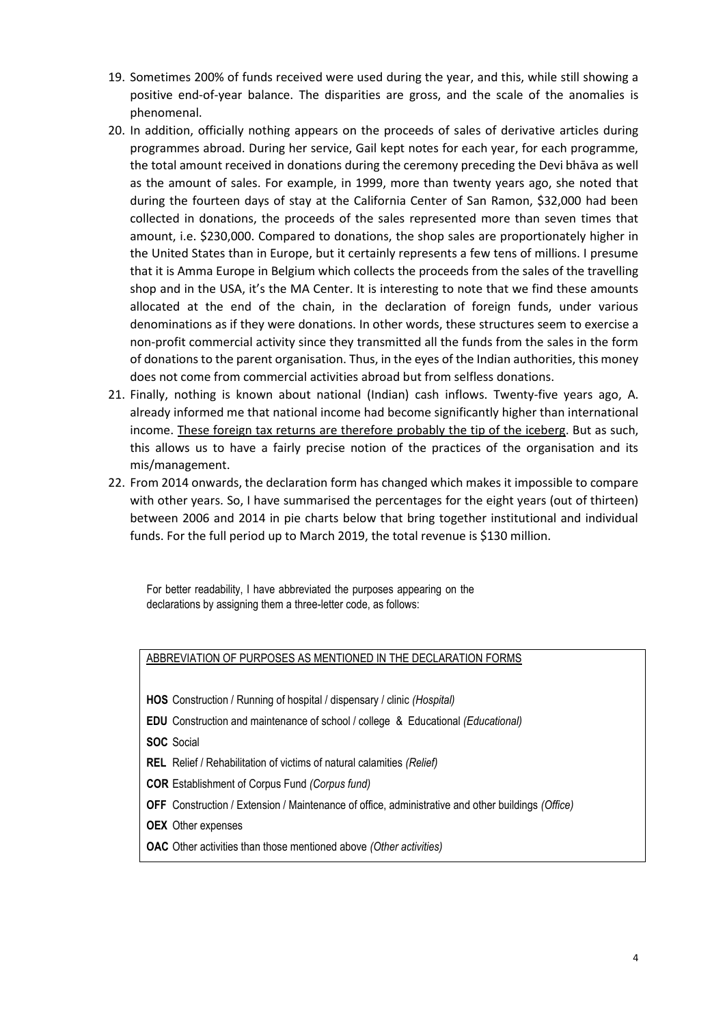- 19. Sometimes 200% of funds received were used during the year, and this, while still showing a positive end-of-year balance. The disparities are gross, and the scale of the anomalies is phenomenal.
- 20. In addition, officially nothing appears on the proceeds of sales of derivative articles during programmes abroad. During her service, Gail kept notes for each year, for each programme, the total amount received in donations during the ceremony preceding the Devi bhāva as well as the amount of sales. For example, in 1999, more than twenty years ago, she noted that during the fourteen days of stay at the California Center of San Ramon, \$32,000 had been collected in donations, the proceeds of the sales represented more than seven times that amount, i.e. \$230,000. Compared to donations, the shop sales are proportionately higher in the United States than in Europe, but it certainly represents a few tens of millions. I presume that it is Amma Europe in Belgium which collects the proceeds from the sales of the travelling shop and in the USA, it's the MA Center. It is interesting to note that we find these amounts allocated at the end of the chain, in the declaration of foreign funds, under various denominations as if they were donations. In other words, these structures seem to exercise a non-profit commercial activity since they transmitted all the funds from the sales in the form of donations to the parent organisation. Thus, in the eyes of the Indian authorities, this money does not come from commercial activities abroad but from selfless donations.
- 21. Finally, nothing is known about national (Indian) cash inflows. Twenty-five years ago, A. already informed me that national income had become significantly higher than international income. These foreign tax returns are therefore probably the tip of the iceberg. But as such, this allows us to have a fairly precise notion of the practices of the organisation and its mis/management.
- 22. From 2014 onwards, the declaration form has changed which makes it impossible to compare with other years. So, I have summarised the percentages for the eight years (out of thirteen) between 2006 and 2014 in pie charts below that bring together institutional and individual funds. For the full period up to March 2019, the total revenue is \$130 million.

For better readability, I have abbreviated the purposes appearing on the declarations by assigning them a three-letter code, as follows:

| ABBREVIATION OF PURPOSES AS MENTIONED IN THE DECLARATION FORMS                                           |
|----------------------------------------------------------------------------------------------------------|
|                                                                                                          |
| <b>HOS</b> Construction / Running of hospital / dispensary / clinic ( <i>Hospital</i> )                  |
| <b>EDU</b> Construction and maintenance of school / college & Educational ( <i>Educational</i> )         |
| <b>SOC</b> Social                                                                                        |
| <b>REL</b> Relief / Rehabilitation of victims of natural calamities (Relief)                             |
| <b>COR</b> Establishment of Corpus Fund (Corpus fund)                                                    |
| <b>OFF</b> Construction / Extension / Maintenance of office, administrative and other buildings (Office) |
| <b>OEX</b> Other expenses                                                                                |
| <b>OAC</b> Other activities than those mentioned above (Other activities)                                |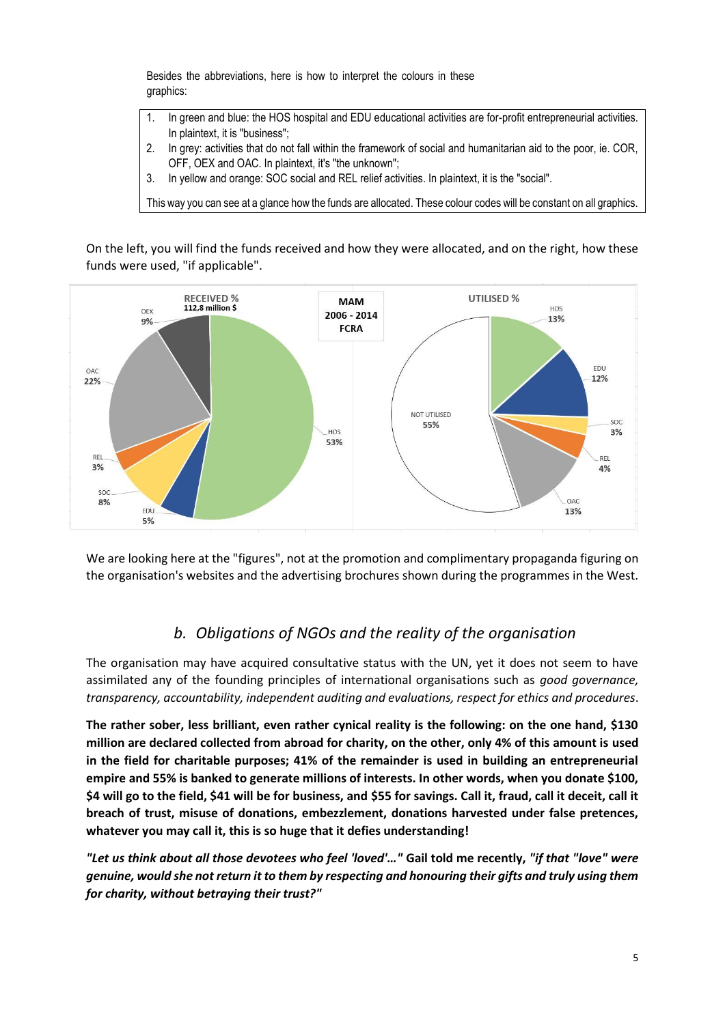Besides the abbreviations, here is how to interpret the colours in these graphics:

- 1. In green and blue: the HOS hospital and EDU educational activities are for-profit entrepreneurial activities. In plaintext, it is "business";
- 2. In grey: activities that do not fall within the framework of social and humanitarian aid to the poor, ie. COR, OFF, OEX and OAC. In plaintext, it's "the unknown";
- 3. In yellow and orange: SOC social and REL relief activities. In plaintext, it is the "social".

This way you can see at a glance how the funds are allocated. These colour codes will be constant on all graphics.

On the left, you will find the funds received and how they were allocated, and on the right, how these funds were used, "if applicable".



We are looking here at the "figures", not at the promotion and complimentary propaganda figuring on the organisation's websites and the advertising brochures shown during the programmes in the West.

## *b. Obligations of NGOs and the reality of the organisation*

The organisation may have acquired consultative status with the UN, yet it does not seem to have assimilated any of the founding principles of international organisations such as *good governance, transparency, accountability, independent auditing and evaluations, respect for ethics and procedures*.

**The rather sober, less brilliant, even rather cynical reality is the following: on the one hand, \$130 million are declared collected from abroad for charity, on the other, only 4% of this amount is used in the field for charitable purposes; 41% of the remainder is used in building an entrepreneurial empire and 55% is banked to generate millions of interests. In other words, when you donate \$100, \$4 will go to the field, \$41 will be for business, and \$55 for savings. Call it, fraud, call it deceit, call it breach of trust, misuse of donations, embezzlement, donations harvested under false pretences, whatever you may call it, this is so huge that it defies understanding!**

*"Let us think about all those devotees who feel 'loved'…"* **Gail told me recently,** *"if that "love" were genuine, would she not return it to them by respecting and honouring their gifts and truly using them for charity, without betraying their trust?"*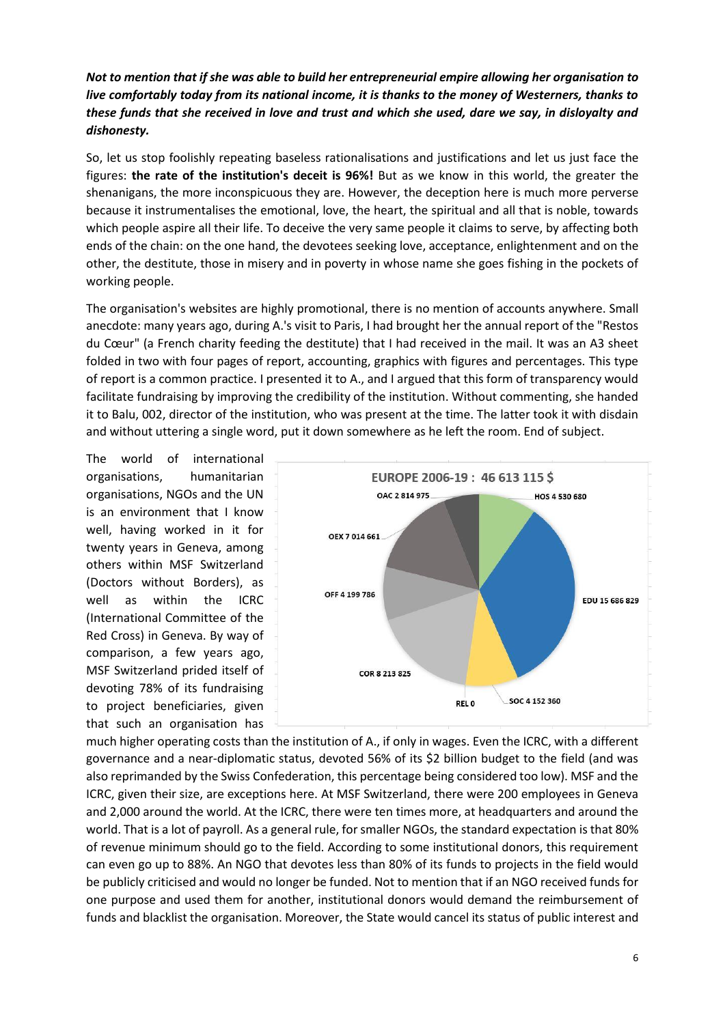#### *Not to mention that if she was able to build her entrepreneurial empire allowing her organisation to live comfortably today from its national income, it is thanks to the money of Westerners, thanks to these funds that she received in love and trust and which she used, dare we say, in disloyalty and dishonesty.*

So, let us stop foolishly repeating baseless rationalisations and justifications and let us just face the figures: **the rate of the institution's deceit is 96%!** But as we know in this world, the greater the shenanigans, the more inconspicuous they are. However, the deception here is much more perverse because it instrumentalises the emotional, love, the heart, the spiritual and all that is noble, towards which people aspire all their life. To deceive the very same people it claims to serve, by affecting both ends of the chain: on the one hand, the devotees seeking love, acceptance, enlightenment and on the other, the destitute, those in misery and in poverty in whose name she goes fishing in the pockets of working people.

The organisation's websites are highly promotional, there is no mention of accounts anywhere. Small anecdote: many years ago, during A.'s visit to Paris, I had brought her the annual report of the "Restos du Cœur" (a French charity feeding the destitute) that I had received in the mail. It was an A3 sheet folded in two with four pages of report, accounting, graphics with figures and percentages. This type of report is a common practice. I presented it to A., and I argued that this form of transparency would facilitate fundraising by improving the credibility of the institution. Without commenting, she handed it to Balu, 002, director of the institution, who was present at the time. The latter took it with disdain and without uttering a single word, put it down somewhere as he left the room. End of subject.

The world of international organisations, humanitarian organisations, NGOs and the UN is an environment that I know well, having worked in it for twenty years in Geneva, among others within MSF Switzerland (Doctors without Borders), as well as within the ICRC (International Committee of the Red Cross) in Geneva. By way of comparison, a few years ago, MSF Switzerland prided itself of devoting 78% of its fundraising to project beneficiaries, given that such an organisation has



much higher operating costs than the institution of A., if only in wages. Even the ICRC, with a different governance and a near-diplomatic status, devoted 56% of its \$2 billion budget to the field (and was also reprimanded by the Swiss Confederation, this percentage being considered too low). MSF and the ICRC, given their size, are exceptions here. At MSF Switzerland, there were 200 employees in Geneva and 2,000 around the world. At the ICRC, there were ten times more, at headquarters and around the world. That is a lot of payroll. As a general rule, for smaller NGOs, the standard expectation is that 80% of revenue minimum should go to the field. According to some institutional donors, this requirement can even go up to 88%. An NGO that devotes less than 80% of its funds to projects in the field would be publicly criticised and would no longer be funded. Not to mention that if an NGO received funds for one purpose and used them for another, institutional donors would demand the reimbursement of funds and blacklist the organisation. Moreover, the State would cancel its status of public interest and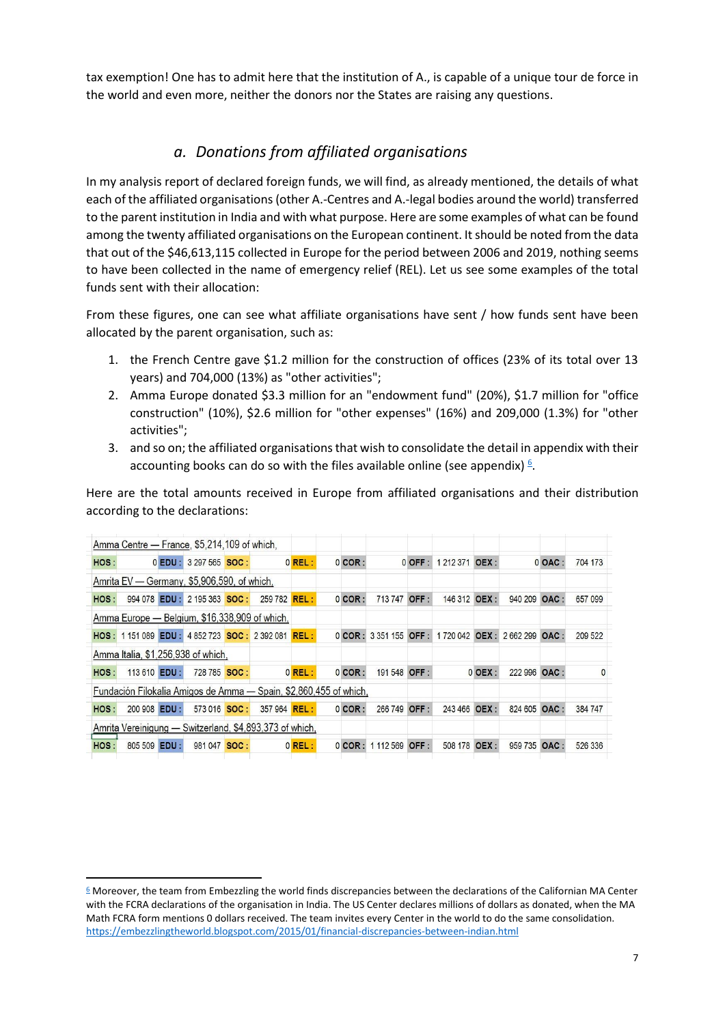tax exemption! One has to admit here that the institution of A., is capable of a unique tour de force in the world and even more, neither the donors nor the States are raising any questions.

## *a. Donations from affiliated organisations*

In my analysis report of declared foreign funds, we will find, as already mentioned, the details of what each of the affiliated organisations(other A.-Centres and A.-legal bodies around the world) transferred to the parent institution in India and with what purpose. Here are some examples of what can be found among the twenty affiliated organisations on the European continent. It should be noted from the data that out of the \$46,613,115 collected in Europe for the period between 2006 and 2019, nothing seems to have been collected in the name of emergency relief (REL). Let us see some examples of the total funds sent with their allocation:

From these figures, one can see what affiliate organisations have sent / how funds sent have been allocated by the parent organisation, such as:

- 1. the French Centre gave \$1.2 million for the construction of offices (23% of its total over 13 years) and 704,000 (13%) as "other activities";
- 2. Amma Europe donated \$3.3 million for an "endowment fund" (20%), \$1.7 million for "office construction" (10%), \$2.6 million for "other expenses" (16%) and 209,000 (1.3%) for "other activities";
- 3. and so on; the affiliated organisations that wish to consolidate the detail in appendix with their accounting books can do so with the files available online (see appendix)  $6$ .

Here are the total amounts received in Europe from affiliated organisations and their distribution according to the declarations:

|      | Amma Centre — France, \$5,214,109 of which,                       |           |                |  |                     |           |  |           |              |      |                                                |           |              |           |              |
|------|-------------------------------------------------------------------|-----------|----------------|--|---------------------|-----------|--|-----------|--------------|------|------------------------------------------------|-----------|--------------|-----------|--------------|
| HOS: |                                                                   | $0$ EDU : | 3 297 565 SOC: |  |                     | $0$ REL:  |  | $0$ COR:  |              |      | 0 OFF: 1212 371 OEX:                           |           |              | $0$ OAC : | 704 173      |
|      | Amrita EV — Germany, \$5,906,590, of which,                       |           |                |  |                     |           |  |           |              |      |                                                |           |              |           |              |
| HOS: | 994 078 EDU :                                                     |           | 2 195 363 SOC: |  | 259 782 <b>REL:</b> |           |  | $0$ COR:  | 713 747 OFF: |      | 146 312 OEX:                                   |           | 940 209      | OAC:      | 657 099      |
|      | Amma Europe — Belgium, \$16,338,909 of which,                     |           |                |  |                     |           |  |           |              |      |                                                |           |              |           |              |
|      | HOS: 1151089 EDU: 4852723 SOC: 2392081 REL:                       |           |                |  |                     |           |  |           |              |      | 0 COR: 3 351 155 OFF: 1 720 042 OEX: 2 662 299 |           |              | OAC:      | 209 522      |
|      | Amma Italia, \$1,256,938 of which.                                |           |                |  |                     |           |  |           |              |      |                                                |           |              |           |              |
| HOS: | 113 610 <b>EDU</b> :                                              |           | 728 785 SOC:   |  |                     | $0$ REL : |  | $0$ COR : | 191 548 OFF: |      |                                                | $0$ OEX : | 222 996 OAC: |           | $\mathbf{0}$ |
|      | Fundación Filokalia Amigos de Amma — Spain, \$2,860,455 of which, |           |                |  |                     |           |  |           |              |      |                                                |           |              |           |              |
| HOS: | 200 908 EDU :                                                     |           | 573 016 SOC:   |  | 357 964 <b>REL:</b> |           |  | $0$ COR : | 266 749      | OFF: | 243 466                                        | OEX:      | 824 605      | OAC:      | 384 747      |
|      | Amrita Vereinigung — Switzerland, \$4,893,373 of which,           |           |                |  |                     |           |  |           |              |      |                                                |           |              |           |              |
| HOS: | 805 509                                                           | EDU:      | 981 047 SOC:   |  |                     | $0$ REL:  |  | $0$ COR : | 1 112 569    | OFF: | 508 178                                        | OEX:      | 959 735      | OAC:      | 526 336      |

 $6$  Moreover, the team from Embezzling the world finds discrepancies between the declarations of the Californian MA Center with the FCRA declarations of the organisation in India. The US Center declares millions of dollars as donated, when the MA Math FCRA form mentions 0 dollars received. The team invites every Center in the world to do the same consolidation. <https://embezzlingtheworld.blogspot.com/2015/01/financial-discrepancies-between-indian.html>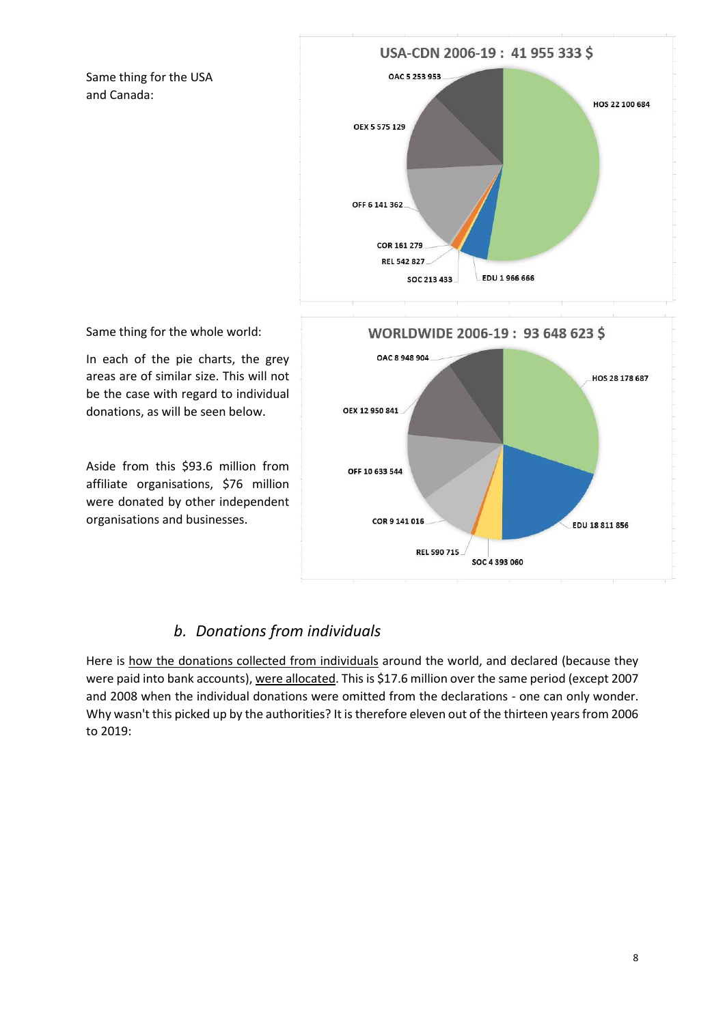Same thing for the USA and Canada:



Same thing for the whole world:

In each of the pie charts, the grey areas are of similar size. This will not be the case with regard to individual donations, as will be seen below.

Aside from this \$93.6 million from affiliate organisations, \$76 million were donated by other independent organisations and businesses.

#### *b. Donations from individuals*

Here is how the donations collected from individuals around the world, and declared (because they were paid into bank accounts), were allocated. This is \$17.6 million over the same period (except 2007 and 2008 when the individual donations were omitted from the declarations - one can only wonder. Why wasn't this picked up by the authorities? It is therefore eleven out of the thirteen years from 2006 to 2019: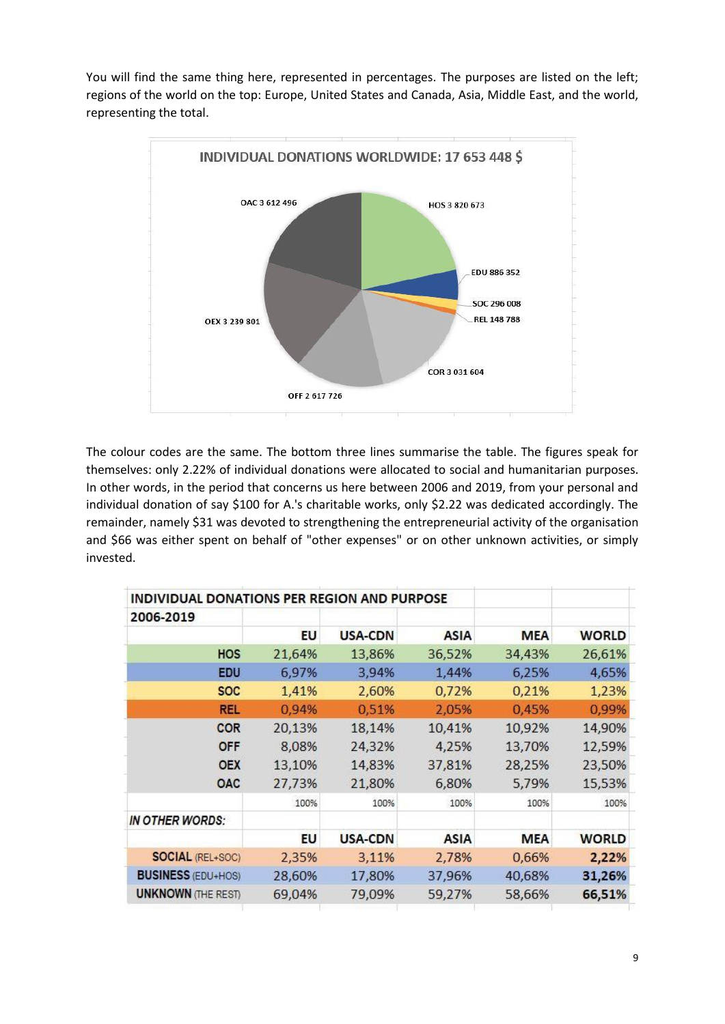You will find the same thing here, represented in percentages. The purposes are listed on the left; regions of the world on the top: Europe, United States and Canada, Asia, Middle East, and the world, representing the total.



The colour codes are the same. The bottom three lines summarise the table. The figures speak for themselves: only 2.22% of individual donations were allocated to social and humanitarian purposes. In other words, in the period that concerns us here between 2006 and 2019, from your personal and individual donation of say \$100 for A.'s charitable works, only \$2.22 was dedicated accordingly. The remainder, namely \$31 was devoted to strengthening the entrepreneurial activity of the organisation and \$66 was either spent on behalf of "other expenses" or on other unknown activities, or simply invested.

| INDIVIDUAL DONATIONS PER REGION AND PURPOSE |        |         |             |            |              |
|---------------------------------------------|--------|---------|-------------|------------|--------------|
| 2006-2019                                   |        |         |             |            |              |
|                                             | EU     | USA-CDN | <b>ASIA</b> | <b>MEA</b> | <b>WORLD</b> |
| <b>HOS</b>                                  | 21,64% | 13,86%  | 36,52%      | 34,43%     | 26,61%       |
| <b>EDU</b>                                  | 6,97%  | 3,94%   | 1,44%       | 6,25%      | 4,65%        |
| <b>SOC</b>                                  | 1,41%  | 2,60%   | 0,72%       | 0,21%      | 1,23%        |
| <b>REL</b>                                  | 0,94%  | 0,51%   | 2,05%       | 0,45%      | 0,99%        |
| <b>COR</b>                                  | 20,13% | 18,14%  | 10,41%      | 10,92%     | 14,90%       |
| <b>OFF</b>                                  | 8,08%  | 24,32%  | 4,25%       | 13,70%     | 12,59%       |
| <b>OEX</b>                                  | 13,10% | 14,83%  | 37,81%      | 28,25%     | 23,50%       |
| <b>OAC</b>                                  | 27,73% | 21,80%  | 6,80%       | 5,79%      | 15,53%       |
|                                             | 100%   | 100%    | 100%        | 100%       | 100%         |
| IN OTHER WORDS:                             |        |         |             |            |              |
|                                             | EU     | USA-CDN | <b>ASIA</b> | <b>MEA</b> | <b>WORLD</b> |
| <b>SOCIAL (REL+SOC)</b>                     | 2,35%  | 3,11%   | 2,78%       | 0,66%      | 2,22%        |
| <b>BUSINESS (EDU+HOS)</b>                   | 28,60% | 17,80%  | 37,96%      | 40,68%     | 31,26%       |
| <b>UNKNOWN (THE REST)</b>                   | 69,04% | 79,09%  | 59,27%      | 58,66%     | 66,51%       |
|                                             |        |         |             |            |              |